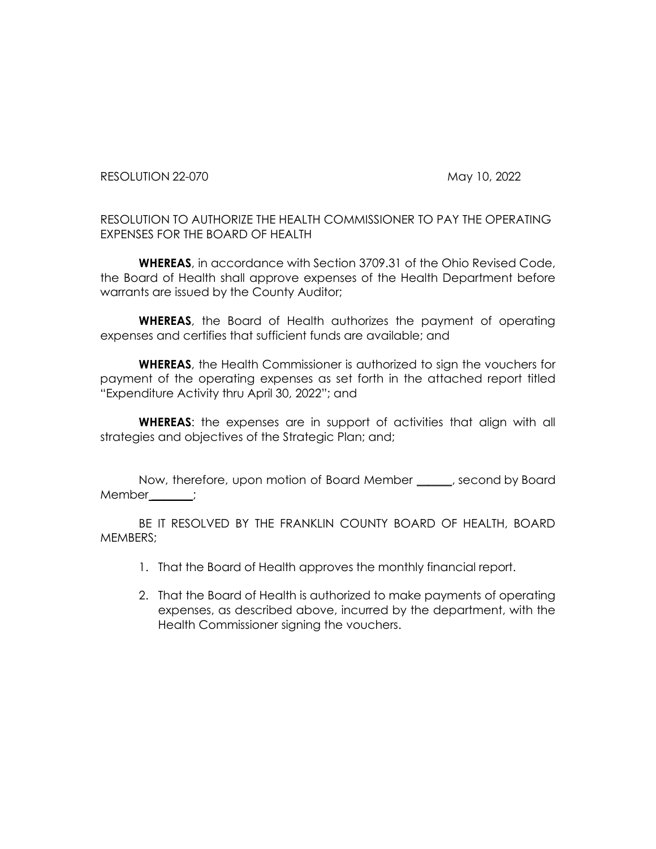RESOLUTION 22-070 May 10, 2022

RESOLUTION TO AUTHORIZE THE HEALTH COMMISSIONER TO PAY THE OPERATING EXPENSES FOR THE BOARD OF HEALTH

**WHEREAS**, in accordance with Section 3709.31 of the Ohio Revised Code, the Board of Health shall approve expenses of the Health Department before warrants are issued by the County Auditor;

**WHEREAS**, the Board of Health authorizes the payment of operating expenses and certifies that sufficient funds are available; and

**WHEREAS**, the Health Commissioner is authorized to sign the vouchers for payment of the operating expenses as set forth in the attached report titled "Expenditure Activity thru April 30, 2022"; and

**WHEREAS**: the expenses are in support of activities that align with all strategies and objectives of the Strategic Plan; and;

Now, therefore, upon motion of Board Member \_\_\_\_\_\_, second by Board Member \_\_\_\_\_;

BE IT RESOLVED BY THE FRANKLIN COUNTY BOARD OF HEALTH, BOARD MEMBERS;

- 1. That the Board of Health approves the monthly financial report.
- 2. That the Board of Health is authorized to make payments of operating expenses, as described above, incurred by the department, with the Health Commissioner signing the vouchers.